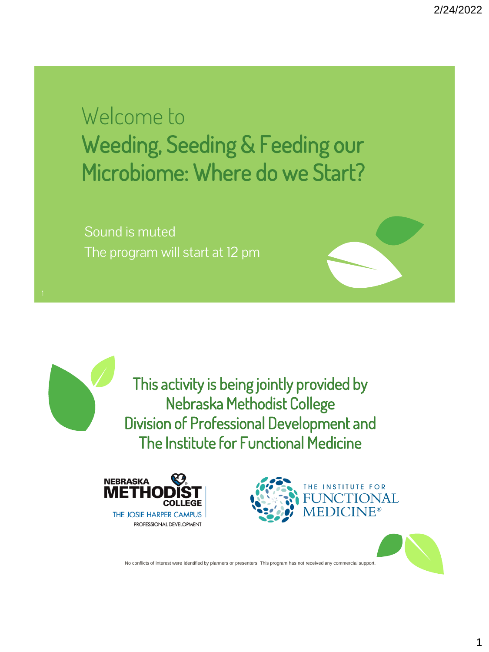Welcome to Weeding, Seeding & Feeding our Microbiome: Where do we Start?

Sound is muted The program will start at 12 pm

> This activity is being jointly provided by Nebraska Methodist College Division of Professional Development and The Institute for Functional Medicine





No conflicts of interest were identified by planners or presenters. This program has not received any commercial support.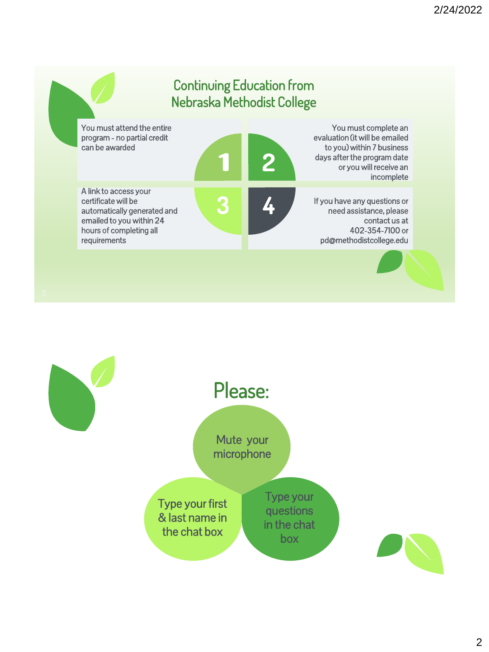

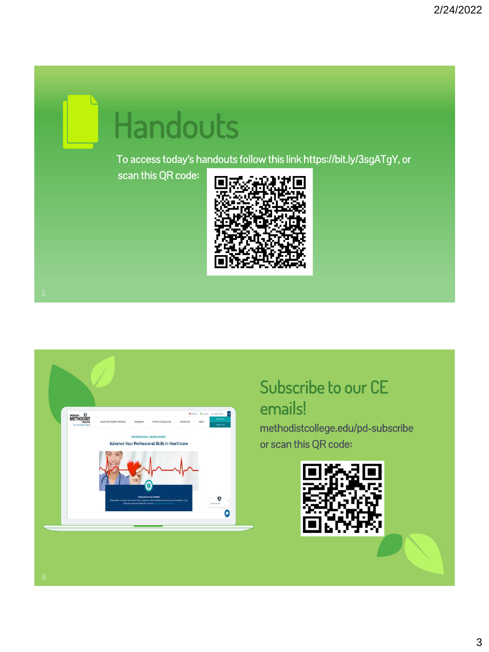# Handouts

To access today's handouts follow this link https://bit.ly/3sgATgY, or

scan this QR code:





#### Subscribe to our CE emails!

methodistcollege.edu/pd-subscribe or scan this QR code:

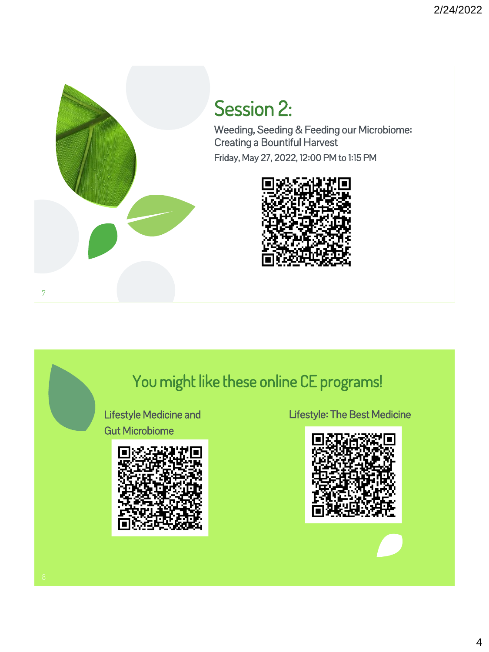

## Session 2:

Weeding, Seeding & Feeding our Microbiome: Creating a Bountiful Harvest Friday, May 27, 2022, 12:00 PM to 1:15 PM



### You might like these online CE programs!

Lifestyle Medicine and Gut Microbiome



Lifestyle: The Best Medicine